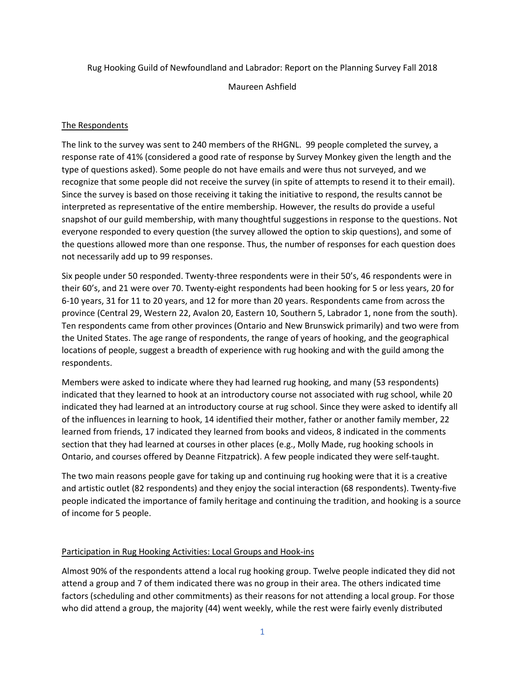Rug Hooking Guild of Newfoundland and Labrador: Report on the Planning Survey Fall 2018

Maureen Ashfield

# The Respondents

The link to the survey was sent to 240 members of the RHGNL. 99 people completed the survey, a response rate of 41% (considered a good rate of response by Survey Monkey given the length and the type of questions asked). Some people do not have emails and were thus not surveyed, and we recognize that some people did not receive the survey (in spite of attempts to resend it to their email). Since the survey is based on those receiving it taking the initiative to respond, the results cannot be interpreted as representative of the entire membership. However, the results do provide a useful snapshot of our guild membership, with many thoughtful suggestions in response to the questions. Not everyone responded to every question (the survey allowed the option to skip questions), and some of the questions allowed more than one response. Thus, the number of responses for each question does not necessarily add up to 99 responses.

Six people under 50 responded. Twenty-three respondents were in their 50's, 46 respondents were in their 60's, and 21 were over 70. Twenty-eight respondents had been hooking for 5 or less years, 20 for 6-10 years, 31 for 11 to 20 years, and 12 for more than 20 years. Respondents came from across the province (Central 29, Western 22, Avalon 20, Eastern 10, Southern 5, Labrador 1, none from the south). Ten respondents came from other provinces (Ontario and New Brunswick primarily) and two were from the United States. The age range of respondents, the range of years of hooking, and the geographical locations of people, suggest a breadth of experience with rug hooking and with the guild among the respondents.

Members were asked to indicate where they had learned rug hooking, and many (53 respondents) indicated that they learned to hook at an introductory course not associated with rug school, while 20 indicated they had learned at an introductory course at rug school. Since they were asked to identify all of the influences in learning to hook, 14 identified their mother, father or another family member, 22 learned from friends, 17 indicated they learned from books and videos, 8 indicated in the comments section that they had learned at courses in other places (e.g., Molly Made, rug hooking schools in Ontario, and courses offered by Deanne Fitzpatrick). A few people indicated they were self-taught.

The two main reasons people gave for taking up and continuing rug hooking were that it is a creative and artistic outlet (82 respondents) and they enjoy the social interaction (68 respondents). Twenty-five people indicated the importance of family heritage and continuing the tradition, and hooking is a source of income for 5 people.

# Participation in Rug Hooking Activities: Local Groups and Hook-ins

Almost 90% of the respondents attend a local rug hooking group. Twelve people indicated they did not attend a group and 7 of them indicated there was no group in their area. The others indicated time factors (scheduling and other commitments) as their reasons for not attending a local group. For those who did attend a group, the majority (44) went weekly, while the rest were fairly evenly distributed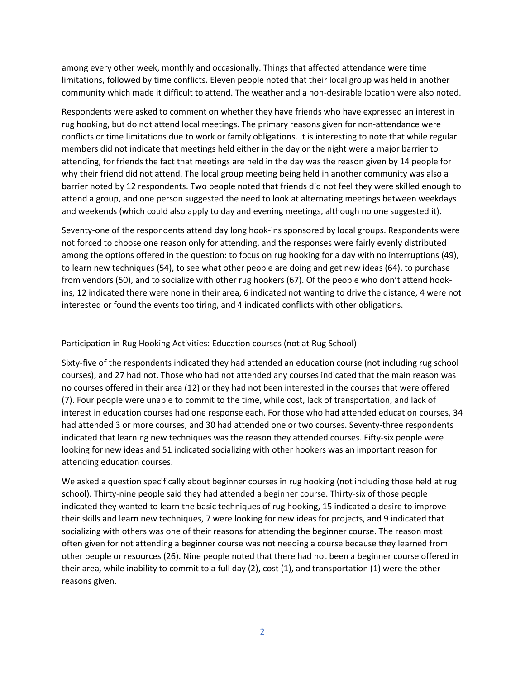among every other week, monthly and occasionally. Things that affected attendance were time limitations, followed by time conflicts. Eleven people noted that their local group was held in another community which made it difficult to attend. The weather and a non-desirable location were also noted.

Respondents were asked to comment on whether they have friends who have expressed an interest in rug hooking, but do not attend local meetings. The primary reasons given for non-attendance were conflicts or time limitations due to work or family obligations. It is interesting to note that while regular members did not indicate that meetings held either in the day or the night were a major barrier to attending, for friends the fact that meetings are held in the day was the reason given by 14 people for why their friend did not attend. The local group meeting being held in another community was also a barrier noted by 12 respondents. Two people noted that friends did not feel they were skilled enough to attend a group, and one person suggested the need to look at alternating meetings between weekdays and weekends (which could also apply to day and evening meetings, although no one suggested it).

Seventy-one of the respondents attend day long hook-ins sponsored by local groups. Respondents were not forced to choose one reason only for attending, and the responses were fairly evenly distributed among the options offered in the question: to focus on rug hooking for a day with no interruptions (49), to learn new techniques (54), to see what other people are doing and get new ideas (64), to purchase from vendors (50), and to socialize with other rug hookers (67). Of the people who don't attend hookins, 12 indicated there were none in their area, 6 indicated not wanting to drive the distance, 4 were not interested or found the events too tiring, and 4 indicated conflicts with other obligations.

# Participation in Rug Hooking Activities: Education courses (not at Rug School)

Sixty-five of the respondents indicated they had attended an education course (not including rug school courses), and 27 had not. Those who had not attended any courses indicated that the main reason was no courses offered in their area (12) or they had not been interested in the courses that were offered (7). Four people were unable to commit to the time, while cost, lack of transportation, and lack of interest in education courses had one response each. For those who had attended education courses, 34 had attended 3 or more courses, and 30 had attended one or two courses. Seventy-three respondents indicated that learning new techniques was the reason they attended courses. Fifty-six people were looking for new ideas and 51 indicated socializing with other hookers was an important reason for attending education courses.

We asked a question specifically about beginner courses in rug hooking (not including those held at rug school). Thirty-nine people said they had attended a beginner course. Thirty-six of those people indicated they wanted to learn the basic techniques of rug hooking, 15 indicated a desire to improve their skills and learn new techniques, 7 were looking for new ideas for projects, and 9 indicated that socializing with others was one of their reasons for attending the beginner course. The reason most often given for not attending a beginner course was not needing a course because they learned from other people or resources (26). Nine people noted that there had not been a beginner course offered in their area, while inability to commit to a full day (2), cost (1), and transportation (1) were the other reasons given.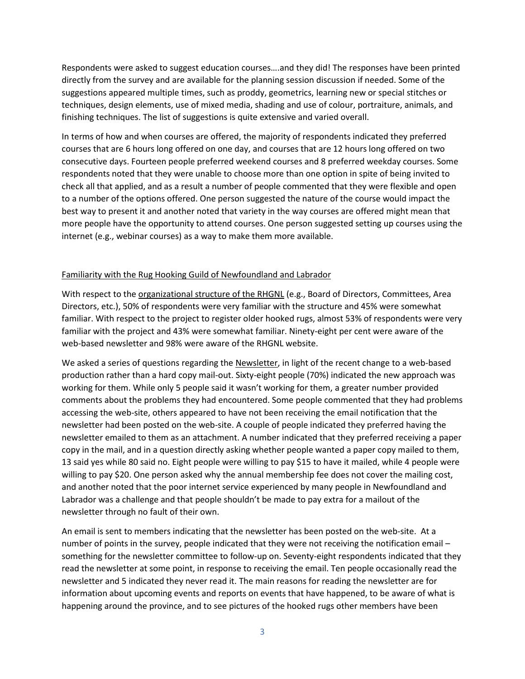Respondents were asked to suggest education courses….and they did! The responses have been printed directly from the survey and are available for the planning session discussion if needed. Some of the suggestions appeared multiple times, such as proddy, geometrics, learning new or special stitches or techniques, design elements, use of mixed media, shading and use of colour, portraiture, animals, and finishing techniques. The list of suggestions is quite extensive and varied overall.

In terms of how and when courses are offered, the majority of respondents indicated they preferred courses that are 6 hours long offered on one day, and courses that are 12 hours long offered on two consecutive days. Fourteen people preferred weekend courses and 8 preferred weekday courses. Some respondents noted that they were unable to choose more than one option in spite of being invited to check all that applied, and as a result a number of people commented that they were flexible and open to a number of the options offered. One person suggested the nature of the course would impact the best way to present it and another noted that variety in the way courses are offered might mean that more people have the opportunity to attend courses. One person suggested setting up courses using the internet (e.g., webinar courses) as a way to make them more available.

#### Familiarity with the Rug Hooking Guild of Newfoundland and Labrador

With respect to the *organizational structure of the RHGNL* (e.g., Board of Directors, Committees, Area Directors, etc.), 50% of respondents were very familiar with the structure and 45% were somewhat familiar. With respect to the project to register older hooked rugs, almost 53% of respondents were very familiar with the project and 43% were somewhat familiar. Ninety-eight per cent were aware of the web-based newsletter and 98% were aware of the RHGNL website.

We asked a series of questions regarding the Newsletter, in light of the recent change to a web-based production rather than a hard copy mail-out. Sixty-eight people (70%) indicated the new approach was working for them. While only 5 people said it wasn't working for them, a greater number provided comments about the problems they had encountered. Some people commented that they had problems accessing the web-site, others appeared to have not been receiving the email notification that the newsletter had been posted on the web-site. A couple of people indicated they preferred having the newsletter emailed to them as an attachment. A number indicated that they preferred receiving a paper copy in the mail, and in a question directly asking whether people wanted a paper copy mailed to them, 13 said yes while 80 said no. Eight people were willing to pay \$15 to have it mailed, while 4 people were willing to pay \$20. One person asked why the annual membership fee does not cover the mailing cost, and another noted that the poor internet service experienced by many people in Newfoundland and Labrador was a challenge and that people shouldn't be made to pay extra for a mailout of the newsletter through no fault of their own.

An email is sent to members indicating that the newsletter has been posted on the web-site. At a number of points in the survey, people indicated that they were not receiving the notification email – something for the newsletter committee to follow-up on. Seventy-eight respondents indicated that they read the newsletter at some point, in response to receiving the email. Ten people occasionally read the newsletter and 5 indicated they never read it. The main reasons for reading the newsletter are for information about upcoming events and reports on events that have happened, to be aware of what is happening around the province, and to see pictures of the hooked rugs other members have been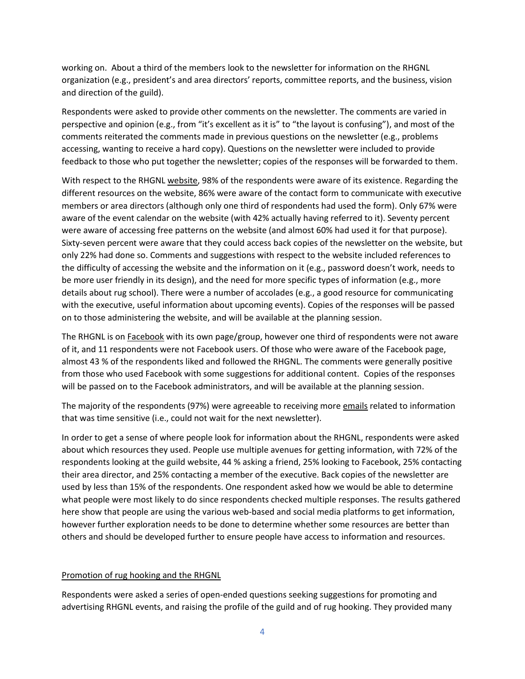working on. About a third of the members look to the newsletter for information on the RHGNL organization (e.g., president's and area directors' reports, committee reports, and the business, vision and direction of the guild).

Respondents were asked to provide other comments on the newsletter. The comments are varied in perspective and opinion (e.g., from "it's excellent as it is" to "the layout is confusing"), and most of the comments reiterated the comments made in previous questions on the newsletter (e.g., problems accessing, wanting to receive a hard copy). Questions on the newsletter were included to provide feedback to those who put together the newsletter; copies of the responses will be forwarded to them.

With respect to the RHGNL website, 98% of the respondents were aware of its existence. Regarding the different resources on the website, 86% were aware of the contact form to communicate with executive members or area directors (although only one third of respondents had used the form). Only 67% were aware of the event calendar on the website (with 42% actually having referred to it). Seventy percent were aware of accessing free patterns on the website (and almost 60% had used it for that purpose). Sixty-seven percent were aware that they could access back copies of the newsletter on the website, but only 22% had done so. Comments and suggestions with respect to the website included references to the difficulty of accessing the website and the information on it (e.g., password doesn't work, needs to be more user friendly in its design), and the need for more specific types of information (e.g., more details about rug school). There were a number of accolades (e.g., a good resource for communicating with the executive, useful information about upcoming events). Copies of the responses will be passed on to those administering the website, and will be available at the planning session.

The RHGNL is on Facebook with its own page/group, however one third of respondents were not aware of it, and 11 respondents were not Facebook users. Of those who were aware of the Facebook page, almost 43 % of the respondents liked and followed the RHGNL. The comments were generally positive from those who used Facebook with some suggestions for additional content. Copies of the responses will be passed on to the Facebook administrators, and will be available at the planning session.

The majority of the respondents (97%) were agreeable to receiving more emails related to information that was time sensitive (i.e., could not wait for the next newsletter).

In order to get a sense of where people look for information about the RHGNL, respondents were asked about which resources they used. People use multiple avenues for getting information, with 72% of the respondents looking at the guild website, 44 % asking a friend, 25% looking to Facebook, 25% contacting their area director, and 25% contacting a member of the executive. Back copies of the newsletter are used by less than 15% of the respondents. One respondent asked how we would be able to determine what people were most likely to do since respondents checked multiple responses. The results gathered here show that people are using the various web-based and social media platforms to get information, however further exploration needs to be done to determine whether some resources are better than others and should be developed further to ensure people have access to information and resources.

# Promotion of rug hooking and the RHGNL

Respondents were asked a series of open-ended questions seeking suggestions for promoting and advertising RHGNL events, and raising the profile of the guild and of rug hooking. They provided many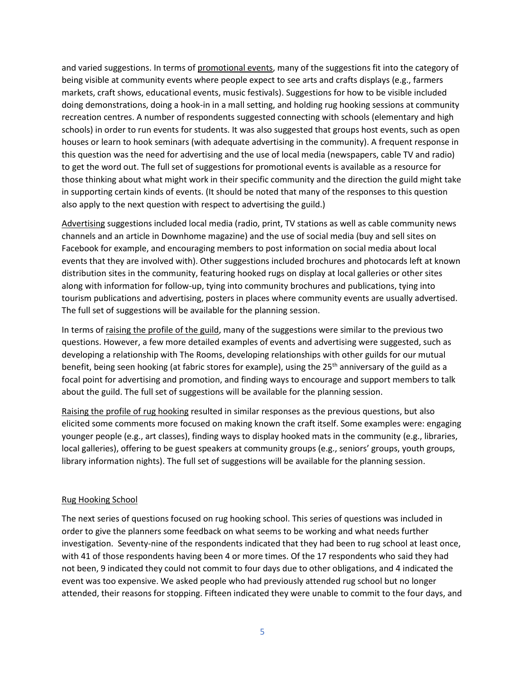and varied suggestions. In terms of promotional events, many of the suggestions fit into the category of being visible at community events where people expect to see arts and crafts displays (e.g., farmers markets, craft shows, educational events, music festivals). Suggestions for how to be visible included doing demonstrations, doing a hook-in in a mall setting, and holding rug hooking sessions at community recreation centres. A number of respondents suggested connecting with schools (elementary and high schools) in order to run events for students. It was also suggested that groups host events, such as open houses or learn to hook seminars (with adequate advertising in the community). A frequent response in this question was the need for advertising and the use of local media (newspapers, cable TV and radio) to get the word out. The full set of suggestions for promotional events is available as a resource for those thinking about what might work in their specific community and the direction the guild might take in supporting certain kinds of events. (It should be noted that many of the responses to this question also apply to the next question with respect to advertising the guild.)

Advertising suggestions included local media (radio, print, TV stations as well as cable community news channels and an article in Downhome magazine) and the use of social media (buy and sell sites on Facebook for example, and encouraging members to post information on social media about local events that they are involved with). Other suggestions included brochures and photocards left at known distribution sites in the community, featuring hooked rugs on display at local galleries or other sites along with information for follow-up, tying into community brochures and publications, tying into tourism publications and advertising, posters in places where community events are usually advertised. The full set of suggestions will be available for the planning session.

In terms of raising the profile of the guild, many of the suggestions were similar to the previous two questions. However, a few more detailed examples of events and advertising were suggested, such as developing a relationship with The Rooms, developing relationships with other guilds for our mutual benefit, being seen hooking (at fabric stores for example), using the 25<sup>th</sup> anniversary of the guild as a focal point for advertising and promotion, and finding ways to encourage and support members to talk about the guild. The full set of suggestions will be available for the planning session.

Raising the profile of rug hooking resulted in similar responses as the previous questions, but also elicited some comments more focused on making known the craft itself. Some examples were: engaging younger people (e.g., art classes), finding ways to display hooked mats in the community (e.g., libraries, local galleries), offering to be guest speakers at community groups (e.g., seniors' groups, youth groups, library information nights). The full set of suggestions will be available for the planning session.

# Rug Hooking School

The next series of questions focused on rug hooking school. This series of questions was included in order to give the planners some feedback on what seems to be working and what needs further investigation. Seventy-nine of the respondents indicated that they had been to rug school at least once, with 41 of those respondents having been 4 or more times. Of the 17 respondents who said they had not been, 9 indicated they could not commit to four days due to other obligations, and 4 indicated the event was too expensive. We asked people who had previously attended rug school but no longer attended, their reasons for stopping. Fifteen indicated they were unable to commit to the four days, and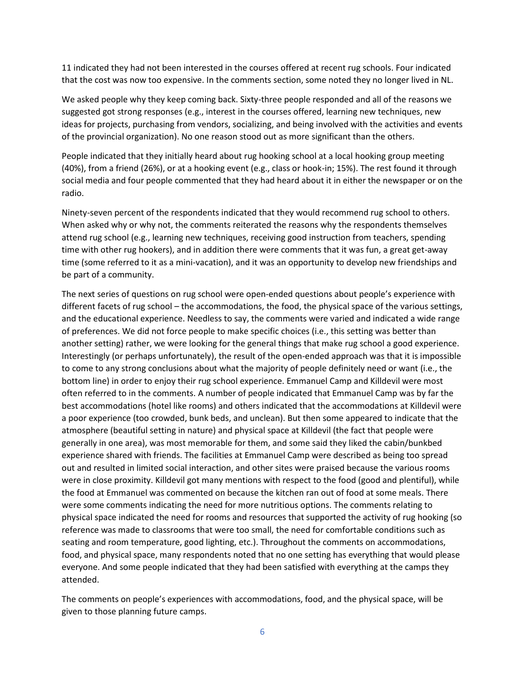11 indicated they had not been interested in the courses offered at recent rug schools. Four indicated that the cost was now too expensive. In the comments section, some noted they no longer lived in NL.

We asked people why they keep coming back. Sixty-three people responded and all of the reasons we suggested got strong responses (e.g., interest in the courses offered, learning new techniques, new ideas for projects, purchasing from vendors, socializing, and being involved with the activities and events of the provincial organization). No one reason stood out as more significant than the others.

People indicated that they initially heard about rug hooking school at a local hooking group meeting (40%), from a friend (26%), or at a hooking event (e.g., class or hook-in; 15%). The rest found it through social media and four people commented that they had heard about it in either the newspaper or on the radio.

Ninety-seven percent of the respondents indicated that they would recommend rug school to others. When asked why or why not, the comments reiterated the reasons why the respondents themselves attend rug school (e.g., learning new techniques, receiving good instruction from teachers, spending time with other rug hookers), and in addition there were comments that it was fun, a great get-away time (some referred to it as a mini-vacation), and it was an opportunity to develop new friendships and be part of a community.

The next series of questions on rug school were open-ended questions about people's experience with different facets of rug school – the accommodations, the food, the physical space of the various settings, and the educational experience. Needless to say, the comments were varied and indicated a wide range of preferences. We did not force people to make specific choices (i.e., this setting was better than another setting) rather, we were looking for the general things that make rug school a good experience. Interestingly (or perhaps unfortunately), the result of the open-ended approach was that it is impossible to come to any strong conclusions about what the majority of people definitely need or want (i.e., the bottom line) in order to enjoy their rug school experience. Emmanuel Camp and Killdevil were most often referred to in the comments. A number of people indicated that Emmanuel Camp was by far the best accommodations (hotel like rooms) and others indicated that the accommodations at Killdevil were a poor experience (too crowded, bunk beds, and unclean). But then some appeared to indicate that the atmosphere (beautiful setting in nature) and physical space at Killdevil (the fact that people were generally in one area), was most memorable for them, and some said they liked the cabin/bunkbed experience shared with friends. The facilities at Emmanuel Camp were described as being too spread out and resulted in limited social interaction, and other sites were praised because the various rooms were in close proximity. Killdevil got many mentions with respect to the food (good and plentiful), while the food at Emmanuel was commented on because the kitchen ran out of food at some meals. There were some comments indicating the need for more nutritious options. The comments relating to physical space indicated the need for rooms and resources that supported the activity of rug hooking (so reference was made to classrooms that were too small, the need for comfortable conditions such as seating and room temperature, good lighting, etc.). Throughout the comments on accommodations, food, and physical space, many respondents noted that no one setting has everything that would please everyone. And some people indicated that they had been satisfied with everything at the camps they attended.

The comments on people's experiences with accommodations, food, and the physical space, will be given to those planning future camps.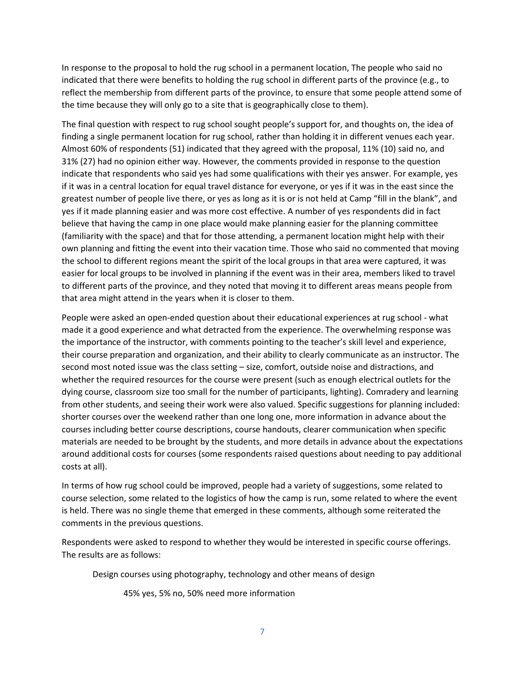In response to the proposal to hold the rug school in a permanent location, The people who said no indicated that there were benefits to holding the rug school in different parts of the province (e.g., to reflect the membership from different parts of the province, to ensure that some people attend some of the time because they will only go to a site that is geographically close to them).

The final question with respect to rug school sought people's support for, and thoughts on, the idea of finding a single permanent location for rug school, rather than holding it in different venues each year. Almost 60% of respondents (51) indicated that they agreed with the proposal, 11% (10) said no, and 31% (27) had no opinion either way. However, the comments provided in response to the question indicate that respondents who said yes had some qualifications with their yes answer. For example, yes if it was in a central location for equal travel distance for everyone, or yes if it was in the east since the greatest number of people live there, or yes as long as it is or is not held at Camp "fill in the blank", and yes if it made planning easier and was more cost effective. A number of yes respondents did in fact believe that having the camp in one place would make planning easier for the planning committee (familiarity with the space) and that for those attending, a permanent location might help with their own planning and fitting the event into their vacation time. Those who said no commented that moving the school to different regions meant the spirit of the local groups in that area were captured, it was easier for local groups to be involved in planning if the event was in their area, members liked to travel to different parts of the province, and they noted that moving it to different areas means people from that area might attend in the years when it is closer to them.

People were asked an open-ended question about their educational experiences at rug school - what made it a good experience and what detracted from the experience. The overwhelming response was the importance of the instructor, with comments pointing to the teacher's skill level and experience, their course preparation and organization, and their ability to clearly communicate as an instructor. The second most noted issue was the class setting – size, comfort, outside noise and distractions, and whether the required resources for the course were present (such as enough electrical outlets for the dying course, classroom size too small for the number of participants, lighting). Comradery and learning from other students, and seeing their work were also valued. Specific suggestions for planning included: shorter courses over the weekend rather than one long one, more information in advance about the courses including better course descriptions, course handouts, clearer communication when specific materials are needed to be brought by the students, and more details in advance about the expectations around additional costs for courses (some respondents raised questions about needing to pay additional costs at all).

In terms of how rug school could be improved, people had a variety of suggestions, some related to course selection, some related to the logistics of how the camp is run, some related to where the event is held. There was no single theme that emerged in these comments, although some reiterated the comments in the previous questions.

Respondents were asked to respond to whether they would be interested in specific course offerings. The results are as follows:

Design courses using photography, technology and other means of design

45% yes, 5% no, 50% need more information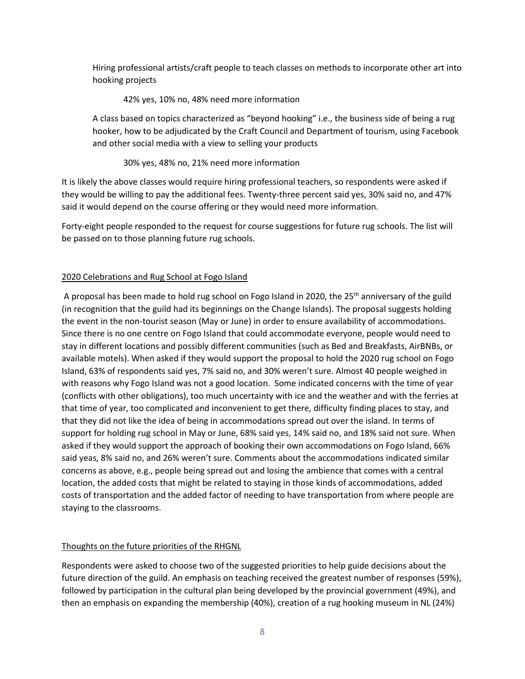Hiring professional artists/craft people to teach classes on methods to incorporate other art into hooking projects

#### 42% yes, 10% no, 48% need more information

A class based on topics characterized as "beyond hooking" i.e., the business side of being a rug hooker, how to be adjudicated by the Craft Council and Department of tourism, using Facebook and other social media with a view to selling your products

#### 30% yes, 48% no, 21% need more information

It is likely the above classes would require hiring professional teachers, so respondents were asked if they would be willing to pay the additional fees. Twenty-three percent said yes, 30% said no, and 47% said it would depend on the course offering or they would need more information.

Forty-eight people responded to the request for course suggestions for future rug schools. The list will be passed on to those planning future rug schools.

# 2020 Celebrations and Rug School at Fogo Island

A proposal has been made to hold rug school on Fogo Island in 2020, the 25<sup>th</sup> anniversary of the guild (in recognition that the guild had its beginnings on the Change Islands). The proposal suggests holding the event in the non-tourist season (May or June) in order to ensure availability of accommodations. Since there is no one centre on Fogo Island that could accommodate everyone, people would need to stay in different locations and possibly different communities (such as Bed and Breakfasts, AirBNBs, or available motels). When asked if they would support the proposal to hold the 2020 rug school on Fogo Island, 63% of respondents said yes, 7% said no, and 30% weren't sure. Almost 40 people weighed in with reasons why Fogo Island was not a good location. Some indicated concerns with the time of year (conflicts with other obligations), too much uncertainty with ice and the weather and with the ferries at that time of year, too complicated and inconvenient to get there, difficulty finding places to stay, and that they did not like the idea of being in accommodations spread out over the island. In terms of support for holding rug school in May or June, 68% said yes, 14% said no, and 18% said not sure. When asked if they would support the approach of booking their own accommodations on Fogo Island, 66% said yeas, 8% said no, and 26% weren't sure. Comments about the accommodations indicated similar concerns as above, e.g., people being spread out and losing the ambience that comes with a central location, the added costs that might be related to staying in those kinds of accommodations, added costs of transportation and the added factor of needing to have transportation from where people are staying to the classrooms.

# Thoughts on the future priorities of the RHGNL

Respondents were asked to choose two of the suggested priorities to help guide decisions about the future direction of the guild. An emphasis on teaching received the greatest number of responses (59%), followed by participation in the cultural plan being developed by the provincial government (49%), and then an emphasis on expanding the membership (40%), creation of a rug hooking museum in NL (24%)